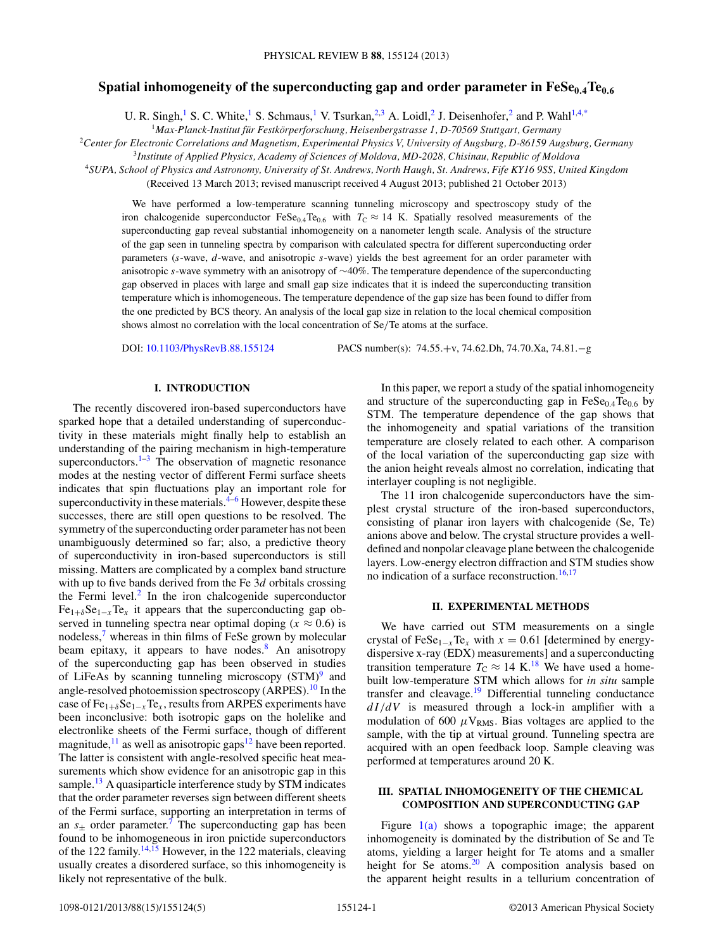# Spatial inhomogeneity of the superconducting gap and order parameter in  $\text{FeSe}_{0.4}\text{Te}_{0.6}$

U. R. Singh,<sup>1</sup> S. C. White,<sup>1</sup> S. Schmaus,<sup>1</sup> V. Tsurkan,<sup>2,3</sup> A. Loidl,<sup>2</sup> J. Deisenhofer,<sup>2</sup> and P. Wahl<sup>1,4[,\\*](#page-3-0)</sup>

<sup>1</sup>*Max-Planck-Institut fur Festk ¨ orperforschung, Heisenbergstrasse 1, D-70569 Stuttgart, Germany ¨*

<sup>2</sup>*Center for Electronic Correlations and Magnetism, Experimental Physics V, University of Augsburg, D-86159 Augsburg, Germany*

<sup>3</sup>*Institute of Applied Physics, Academy of Sciences of Moldova, MD-2028, Chisinau, Republic of Moldova*

<sup>4</sup>*SUPA, School of Physics and Astronomy, University of St. Andrews, North Haugh, St. Andrews, Fife KY16 9SS, United Kingdom*

(Received 13 March 2013; revised manuscript received 4 August 2013; published 21 October 2013)

We have performed a low-temperature scanning tunneling microscopy and spectroscopy study of the iron chalcogenide superconductor FeSe<sub>0.4</sub>Te<sub>0.6</sub> with  $T_c \approx 14$  K. Spatially resolved measurements of the superconducting gap reveal substantial inhomogeneity on a nanometer length scale. Analysis of the structure of the gap seen in tunneling spectra by comparison with calculated spectra for different superconducting order parameters (*s*-wave, *d*-wave, and anisotropic *s*-wave) yields the best agreement for an order parameter with anisotropic *s*-wave symmetry with an anisotropy of ∼40%. The temperature dependence of the superconducting gap observed in places with large and small gap size indicates that it is indeed the superconducting transition temperature which is inhomogeneous. The temperature dependence of the gap size has been found to differ from the one predicted by BCS theory. An analysis of the local gap size in relation to the local chemical composition shows almost no correlation with the local concentration of Se*/*Te atoms at the surface.

DOI: [10.1103/PhysRevB.88.155124](http://dx.doi.org/10.1103/PhysRevB.88.155124) PACS number(s): 74*.*55*.*+v, 74*.*62*.*Dh, 74*.*70*.*Xa, 74*.*81*.*−g

### **I. INTRODUCTION**

The recently discovered iron-based superconductors have sparked hope that a detailed understanding of superconductivity in these materials might finally help to establish an understanding of the pairing mechanism in high-temperature superconductors. $1-3$  The observation of magnetic resonance modes at the nesting vector of different Fermi surface sheets indicates that spin fluctuations play an important role for superconductivity in these materials. $4-6$  However, despite these successes, there are still open questions to be resolved. The symmetry of the superconducting order parameter has not been unambiguously determined so far; also, a predictive theory of superconductivity in iron-based superconductors is still missing. Matters are complicated by a complex band structure with up to five bands derived from the Fe 3*d* orbitals crossing the Fermi level. $<sup>2</sup>$  In the iron chalcogenide superconductor</sup>  $Fe_{1+\delta}Se_{1-x}Te_x$  it appears that the superconducting gap observed in tunneling spectra near optimal doping ( $x \approx 0.6$ ) is nodeless,<sup>7</sup> whereas in thin films of FeSe grown by molecular beam epitaxy, it appears to have nodes. $8$  An anisotropy of the superconducting gap has been observed in studies of LiFeAs by scanning tunneling microscopy  $(STM)^9$  and angle-resolved photoemission spectroscopy (ARPES).<sup>10</sup> In the case of Fe1+*<sup>δ</sup>*Se1−*<sup>x</sup>*Te*<sup>x</sup>* , results from ARPES experiments have been inconclusive: both isotropic gaps on the holelike and electronlike sheets of the Fermi surface, though of different magnitude, $^{11}$  $^{11}$  $^{11}$  as well as anisotropic gaps<sup>[12](#page-4-0)</sup> have been reported. The latter is consistent with angle-resolved specific heat measurements which show evidence for an anisotropic gap in this sample.<sup>13</sup> A quasiparticle interference study by STM indicates that the order parameter reverses sign between different sheets of the Fermi surface, supporting an interpretation in terms of an  $s_{\pm}$  order parameter.<sup>7</sup> The superconducting gap has been found to be inhomogeneous in iron pnictide superconductors of the 122 family.<sup>[14,15](#page-4-0)</sup> However, in the 122 materials, cleaving usually creates a disordered surface, so this inhomogeneity is likely not representative of the bulk.

In this paper, we report a study of the spatial inhomogeneity and structure of the superconducting gap in  $FeSe<sub>0.4</sub>Te<sub>0.6</sub>$  by STM. The temperature dependence of the gap shows that the inhomogeneity and spatial variations of the transition temperature are closely related to each other. A comparison of the local variation of the superconducting gap size with the anion height reveals almost no correlation, indicating that interlayer coupling is not negligible.

The 11 iron chalcogenide superconductors have the simplest crystal structure of the iron-based superconductors, consisting of planar iron layers with chalcogenide (Se, Te) anions above and below. The crystal structure provides a welldefined and nonpolar cleavage plane between the chalcogenide layers. Low-energy electron diffraction and STM studies show no indication of a surface reconstruction.<sup>16,17</sup>

# **II. EXPERIMENTAL METHODS**

We have carried out STM measurements on a single crystal of FeSe<sub>1−*x*</sub>Te<sub>*x*</sub> with  $x = 0.61$  [determined by energydispersive x-ray (EDX) measurements] and a superconducting transition temperature  $T_C \approx 14 \text{ K}^{18}$  $T_C \approx 14 \text{ K}^{18}$  $T_C \approx 14 \text{ K}^{18}$  We have used a homebuilt low-temperature STM which allows for *in situ* sample transfer and cleavage.[19](#page-4-0) Differential tunneling conductance *dI/dV* is measured through a lock-in amplifier with a modulation of 600  $\mu$ V<sub>RMS</sub>. Bias voltages are applied to the sample, with the tip at virtual ground. Tunneling spectra are acquired with an open feedback loop. Sample cleaving was performed at temperatures around 20 K.

### **III. SPATIAL INHOMOGENEITY OF THE CHEMICAL COMPOSITION AND SUPERCONDUCTING GAP**

Figure  $1(a)$  shows a topographic image; the apparent inhomogeneity is dominated by the distribution of Se and Te atoms, yielding a larger height for Te atoms and a smaller height for Se atoms. $20$  A composition analysis based on the apparent height results in a tellurium concentration of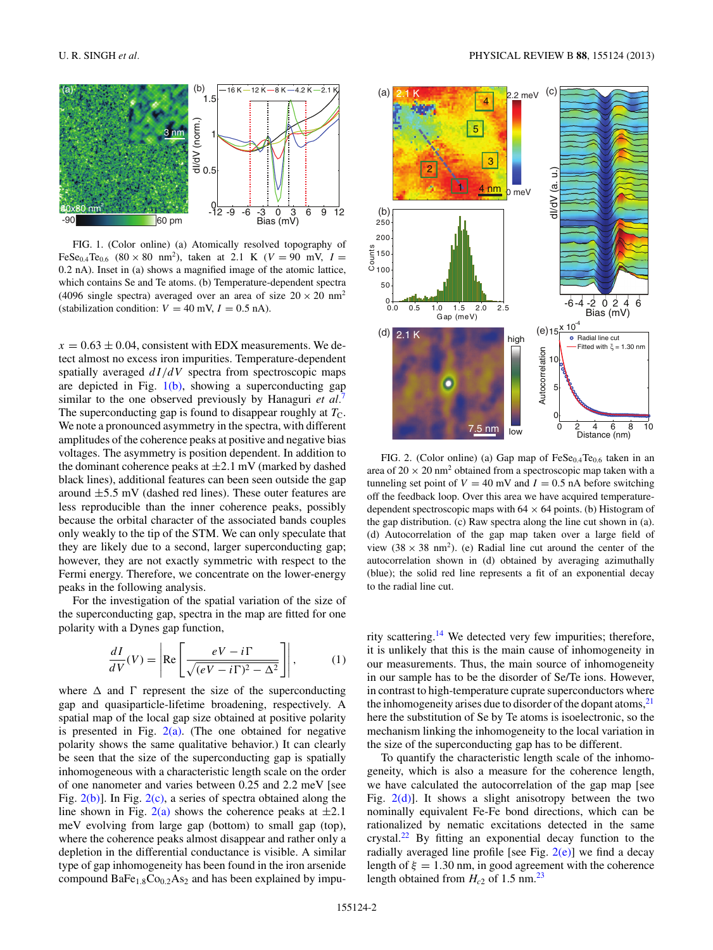<span id="page-1-0"></span>

FIG. 1. (Color online) (a) Atomically resolved topography of FeSe<sub>0.4</sub>Te<sub>0.6</sub> (80 × 80 nm<sup>2</sup>), taken at 2.1 K (*V* = 90 mV, *I* = 0*.*2 nA). Inset in (a) shows a magnified image of the atomic lattice, which contains Se and Te atoms. (b) Temperature-dependent spectra (4096 single spectra) averaged over an area of size  $20 \times 20$  nm<sup>2</sup> (stabilization condition:  $V = 40$  mV,  $I = 0.5$  nA).

 $x = 0.63 \pm 0.04$ , consistent with EDX measurements. We detect almost no excess iron impurities. Temperature-dependent spatially averaged  $dI/dV$  spectra from spectroscopic maps are depicted in Fig.  $1(b)$ , showing a superconducting gap similar to the one observed previously by Hanaguri *et al.*[7](#page-4-0) The superconducting gap is found to disappear roughly at  $T_{\rm C}$ . We note a pronounced asymmetry in the spectra, with different amplitudes of the coherence peaks at positive and negative bias voltages. The asymmetry is position dependent. In addition to the dominant coherence peaks at  $\pm 2.1$  mV (marked by dashed black lines), additional features can been seen outside the gap around ±5*.*5 mV (dashed red lines). These outer features are less reproducible than the inner coherence peaks, possibly because the orbital character of the associated bands couples only weakly to the tip of the STM. We can only speculate that they are likely due to a second, larger superconducting gap; however, they are not exactly symmetric with respect to the Fermi energy. Therefore, we concentrate on the lower-energy peaks in the following analysis.

For the investigation of the spatial variation of the size of the superconducting gap, spectra in the map are fitted for one polarity with a Dynes gap function,

$$
\frac{dI}{dV}(V) = \left| \text{Re} \left[ \frac{eV - i\Gamma}{\sqrt{(eV - i\Gamma)^2 - \Delta^2}} \right] \right|,\tag{1}
$$

where  $\Delta$  and  $\Gamma$  represent the size of the superconducting gap and quasiparticle-lifetime broadening, respectively. A spatial map of the local gap size obtained at positive polarity is presented in Fig.  $2(a)$ . (The one obtained for negative polarity shows the same qualitative behavior.) It can clearly be seen that the size of the superconducting gap is spatially inhomogeneous with a characteristic length scale on the order of one nanometer and varies between 0.25 and 2.2 meV [see Fig. 2(b)]. In Fig. 2(c), a series of spectra obtained along the line shown in Fig.  $2(a)$  shows the coherence peaks at  $\pm 2.1$ meV evolving from large gap (bottom) to small gap (top), where the coherence peaks almost disappear and rather only a depletion in the differential conductance is visible. A similar type of gap inhomogeneity has been found in the iron arsenide compound  $BaFe<sub>1.8</sub>Co<sub>0.2</sub>As<sub>2</sub>$  and has been explained by impu-



FIG. 2. (Color online) (a) Gap map of  $\text{FeSe}_{0.4}\text{Te}_{0.6}$  taken in an area of  $20 \times 20$  nm<sup>2</sup> obtained from a spectroscopic map taken with a tunneling set point of  $V = 40$  mV and  $I = 0.5$  nA before switching off the feedback loop. Over this area we have acquired temperaturedependent spectroscopic maps with  $64 \times 64$  points. (b) Histogram of the gap distribution. (c) Raw spectra along the line cut shown in (a). (d) Autocorrelation of the gap map taken over a large field of view  $(38 \times 38 \text{ nm}^2)$ . (e) Radial line cut around the center of the autocorrelation shown in (d) obtained by averaging azimuthally (blue); the solid red line represents a fit of an exponential decay to the radial line cut.

rity scattering.[14](#page-4-0) We detected very few impurities; therefore, it is unlikely that this is the main cause of inhomogeneity in our measurements. Thus, the main source of inhomogeneity in our sample has to be the disorder of Se/Te ions. However, in contrast to high-temperature cuprate superconductors where the inhomogeneity arises due to disorder of the dopant atoms, $^{21}$  $^{21}$  $^{21}$ here the substitution of Se by Te atoms is isoelectronic, so the mechanism linking the inhomogeneity to the local variation in the size of the superconducting gap has to be different.

To quantify the characteristic length scale of the inhomogeneity, which is also a measure for the coherence length, we have calculated the autocorrelation of the gap map [see Fig.  $2(d)$ ]. It shows a slight anisotropy between the two nominally equivalent Fe-Fe bond directions, which can be rationalized by nematic excitations detected in the same crystal. $^{22}$  $^{22}$  $^{22}$  By fitting an exponential decay function to the radially averaged line profile [see Fig.  $2(e)$ ] we find a decay length of  $\xi = 1.30$  nm, in good agreement with the coherence length obtained from  $H_{c2}$  of 1.5 nm.<sup>[23](#page-4-0)</sup>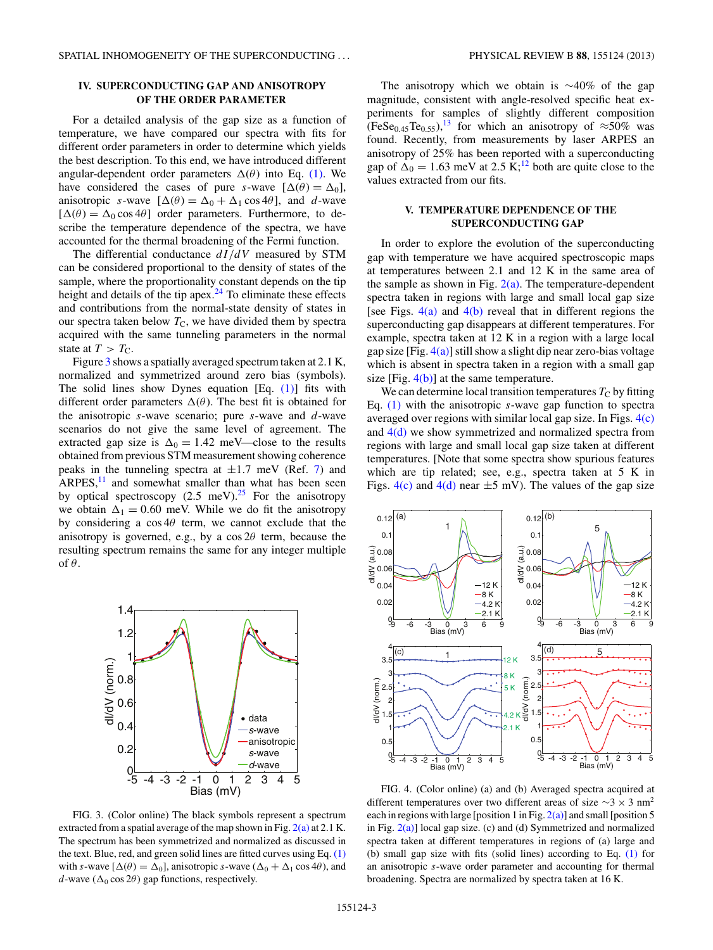# **IV. SUPERCONDUCTING GAP AND ANISOTROPY OF THE ORDER PARAMETER**

For a detailed analysis of the gap size as a function of temperature, we have compared our spectra with fits for different order parameters in order to determine which yields the best description. To this end, we have introduced different angular-dependent order parameters  $\Delta(\theta)$  into Eq. [\(1\).](#page-1-0) We have considered the cases of pure *s*-wave  $[\Delta(\theta) = \Delta_0]$ , anisotropic *s*-wave  $[\Delta(\theta) = \Delta_0 + \Delta_1 \cos 4\theta]$ , and *d*-wave  $[\Delta(\theta) = \Delta_0 \cos 4\theta]$  order parameters. Furthermore, to describe the temperature dependence of the spectra, we have accounted for the thermal broadening of the Fermi function.

The differential conductance *dI/dV* measured by STM can be considered proportional to the density of states of the sample, where the proportionality constant depends on the tip height and details of the tip apex. $24$  To eliminate these effects and contributions from the normal-state density of states in our spectra taken below  $T_{\rm C}$ , we have divided them by spectra acquired with the same tunneling parameters in the normal state at  $T > T<sub>C</sub>$ .

Figure 3 shows a spatially averaged spectrum taken at 2*.*1 K, normalized and symmetrized around zero bias (symbols). The solid lines show Dynes equation [Eq. [\(1\)\]](#page-1-0) fits with different order parameters  $\Delta(\theta)$ . The best fit is obtained for the anisotropic *s*-wave scenario; pure *s*-wave and *d*-wave scenarios do not give the same level of agreement. The extracted gap size is  $\Delta_0 = 1.42$  meV—close to the results obtained from previous STM measurement showing coherence peaks in the tunneling spectra at  $\pm 1.7$  meV (Ref. [7\)](#page-4-0) and  $ARPES$ ,<sup>[11](#page-4-0)</sup> and somewhat smaller than what has been seen by optical spectroscopy  $(2.5 \text{ meV})^{25}$  $(2.5 \text{ meV})^{25}$  $(2.5 \text{ meV})^{25}$  For the anisotropy we obtain  $\Delta_1 = 0.60$  meV. While we do fit the anisotropy by considering a cos 4*θ* term, we cannot exclude that the anisotropy is governed, e.g., by a cos 2*θ* term, because the resulting spectrum remains the same for any integer multiple of *θ*.



FIG. 3. (Color online) The black symbols represent a spectrum extracted from a spatial average of the map shown in Fig. [2\(a\)](#page-1-0) at 2*.*1 K. The spectrum has been symmetrized and normalized as discussed in the text. Blue, red, and green solid lines are fitted curves using Eq. [\(1\)](#page-1-0) with *s*-wave  $[\Delta(\theta) = \Delta_0]$ , anisotropic *s*-wave  $(\Delta_0 + \Delta_1 \cos 4\theta)$ , and *d*-wave ( $\Delta_0 \cos 2\theta$ ) gap functions, respectively.

The anisotropy which we obtain is ∼40% of the gap magnitude, consistent with angle-resolved specific heat experiments for samples of slightly different composition  $(FeSe<sub>0.45</sub>Te<sub>0.55</sub>)$ ,<sup>[13](#page-4-0)</sup> for which an anisotropy of  $\approx$ 50% was found. Recently, from measurements by laser ARPES an anisotropy of 25% has been reported with a superconducting gap of  $\Delta_0 = 1.63$  meV at 2.5 K;<sup>[12](#page-4-0)</sup> both are quite close to the values extracted from our fits.

# **V. TEMPERATURE DEPENDENCE OF THE SUPERCONDUCTING GAP**

In order to explore the evolution of the superconducting gap with temperature we have acquired spectroscopic maps at temperatures between 2*.*1 and 12 K in the same area of the sample as shown in Fig.  $2(a)$ . The temperature-dependent spectra taken in regions with large and small local gap size [see Figs.  $4(a)$  and  $4(b)$  reveal that in different regions the superconducting gap disappears at different temperatures. For example, spectra taken at 12 K in a region with a large local gap size  $[Fig. 4(a)]$  still show a slight dip near zero-bias voltage which is absent in spectra taken in a region with a small gap size [Fig.  $4(b)$ ] at the same temperature.

We can determine local transition temperatures  $T<sub>C</sub>$  by fitting Eq. [\(1\)](#page-1-0) with the anisotropic *s*-wave gap function to spectra averaged over regions with similar local gap size. In Figs. 4(c) and 4(d) we show symmetrized and normalized spectra from regions with large and small local gap size taken at different temperatures. [Note that some spectra show spurious features which are tip related; see, e.g., spectra taken at 5 K in Figs.  $4(c)$  and  $4(d)$  near  $\pm 5$  mV). The values of the gap size



FIG. 4. (Color online) (a) and (b) Averaged spectra acquired at different temperatures over two different areas of size  $\sim$ 3 × 3 nm<sup>2</sup> each in regions with large [position 1 in Fig.  $2(a)$ ] and small [position 5 in Fig. [2\(a\)\]](#page-1-0) local gap size. (c) and (d) Symmetrized and normalized spectra taken at different temperatures in regions of (a) large and (b) small gap size with fits (solid lines) according to Eq. [\(1\)](#page-1-0) for an anisotropic *s*-wave order parameter and accounting for thermal broadening. Spectra are normalized by spectra taken at 16 K.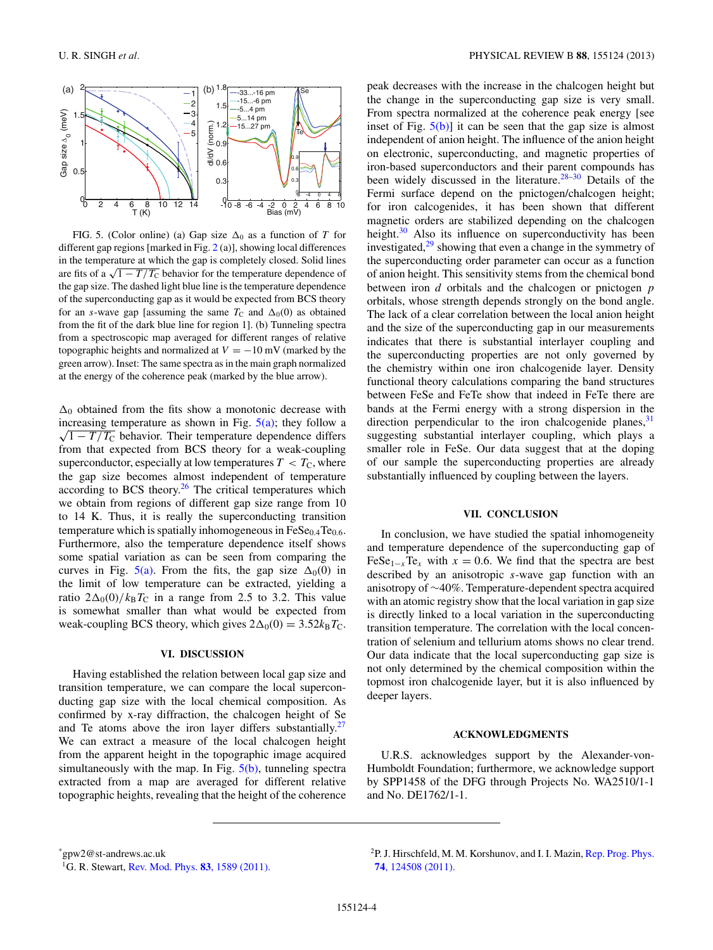<span id="page-3-0"></span>

FIG. 5. (Color online) (a) Gap size  $\Delta_0$  as a function of *T* for different gap regions [marked in Fig. [2](#page-1-0) (a)], showing local differences in the temperature at which the gap is completely closed. Solid lines are fits of a  $\sqrt{1 - T/T_C}$  behavior for the temperature dependence of the gap size. The dashed light blue line is the temperature dependence of the superconducting gap as it would be expected from BCS theory for an *s*-wave gap [assuming the same  $T_C$  and  $\Delta_0(0)$  as obtained from the fit of the dark blue line for region 1]. (b) Tunneling spectra from a spectroscopic map averaged for different ranges of relative topographic heights and normalized at  $V = -10$  mV (marked by the green arrow). Inset: The same spectra as in the main graph normalized at the energy of the coherence peak (marked by the blue arrow).

 $\Delta_0$  obtained from the fits show a monotonic decrease with  $\sqrt{1 - T/T_C}$  behavior. Their temperature dependence differs increasing temperature as shown in Fig.  $5(a)$ ; they follow a from that expected from BCS theory for a weak-coupling superconductor, especially at low temperatures  $T < T<sub>C</sub>$ , where the gap size becomes almost independent of temperature according to BCS theory.<sup>[26](#page-4-0)</sup> The critical temperatures which we obtain from regions of different gap size range from 10 to 14 K. Thus, it is really the superconducting transition temperature which is spatially inhomogeneous in  $FeSe<sub>0.4</sub>Te<sub>0.6</sub>$ . Furthermore, also the temperature dependence itself shows some spatial variation as can be seen from comparing the curves in Fig. 5(a). From the fits, the gap size  $\Delta_0(0)$  in the limit of low temperature can be extracted, yielding a ratio  $2\Delta_0(0)/k_BT_C$  in a range from 2.5 to 3.2. This value is somewhat smaller than what would be expected from weak-coupling BCS theory, which gives  $2\Delta_0(0) = 3.52k_BT_C$ .

#### **VI. DISCUSSION**

Having established the relation between local gap size and transition temperature, we can compare the local superconducting gap size with the local chemical composition. As confirmed by x-ray diffraction, the chalcogen height of Se and Te atoms above the iron layer differs substantially.<sup>[27](#page-4-0)</sup> We can extract a measure of the local chalcogen height from the apparent height in the topographic image acquired simultaneously with the map. In Fig.  $5(b)$ , tunneling spectra extracted from a map are averaged for different relative topographic heights, revealing that the height of the coherence peak decreases with the increase in the chalcogen height but the change in the superconducting gap size is very small. From spectra normalized at the coherence peak energy [see inset of Fig.  $5(b)$ ] it can be seen that the gap size is almost independent of anion height. The influence of the anion height on electronic, superconducting, and magnetic properties of iron-based superconductors and their parent compounds has been widely discussed in the literature.<sup>[28–30](#page-4-0)</sup> Details of the Fermi surface depend on the pnictogen/chalcogen height; for iron calcogenides, it has been shown that different magnetic orders are stabilized depending on the chalcogen height.<sup>[30](#page-4-0)</sup> Also its influence on superconductivity has been investigated, $2<sup>9</sup>$  showing that even a change in the symmetry of the superconducting order parameter can occur as a function of anion height. This sensitivity stems from the chemical bond between iron *d* orbitals and the chalcogen or pnictogen *p* orbitals, whose strength depends strongly on the bond angle. The lack of a clear correlation between the local anion height and the size of the superconducting gap in our measurements indicates that there is substantial interlayer coupling and the superconducting properties are not only governed by the chemistry within one iron chalcogenide layer. Density functional theory calculations comparing the band structures between FeSe and FeTe show that indeed in FeTe there are bands at the Fermi energy with a strong dispersion in the direction perpendicular to the iron chalcogenide planes,  $31$ suggesting substantial interlayer coupling, which plays a smaller role in FeSe. Our data suggest that at the doping of our sample the superconducting properties are already substantially influenced by coupling between the layers.

#### **VII. CONCLUSION**

In conclusion, we have studied the spatial inhomogeneity and temperature dependence of the superconducting gap of FeSe<sub>1-*x*</sub>Te<sub>*x*</sub> with  $x = 0.6$ . We find that the spectra are best described by an anisotropic *s*-wave gap function with an anisotropy of ∼40%. Temperature-dependent spectra acquired with an atomic registry show that the local variation in gap size is directly linked to a local variation in the superconducting transition temperature. The correlation with the local concentration of selenium and tellurium atoms shows no clear trend. Our data indicate that the local superconducting gap size is not only determined by the chemical composition within the topmost iron chalcogenide layer, but it is also influenced by deeper layers.

## **ACKNOWLEDGMENTS**

U.R.S. acknowledges support by the Alexander-von-Humboldt Foundation; furthermore, we acknowledge support by SPP1458 of the DFG through Projects No. WA2510/1-1 and No. DE1762/1-1.

\* gpw2@st-andrews.ac.uk

<sup>1</sup>G. R. Stewart, [Rev. Mod. Phys.](http://dx.doi.org/10.1103/RevModPhys.83.1589) **83**, 1589 (2011).

<sup>&</sup>lt;sup>2</sup>P. J. Hirschfeld, M. M. Korshunov, and I. I. Mazin, [Rep. Prog. Phys.](http://dx.doi.org/10.1088/0034-4885/74/12/124508) **74**[, 124508 \(2011\).](http://dx.doi.org/10.1088/0034-4885/74/12/124508)